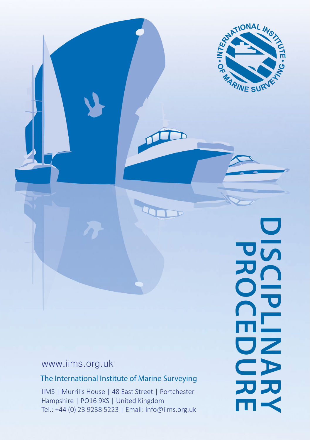

N

# www.iims.org.uk

## The International Institute of Marine Surveying

IIMS | Murrills House | 48 East Street | Portchester Hampshire | PO16 9XS | United Kingdom Tel.: +44 (0) 23 9238 5223 | Email: info@iims.org.uk DISCIPLINA **DISCIPLINARY PROCEDURE**  $\mathbf{E}$ アプ m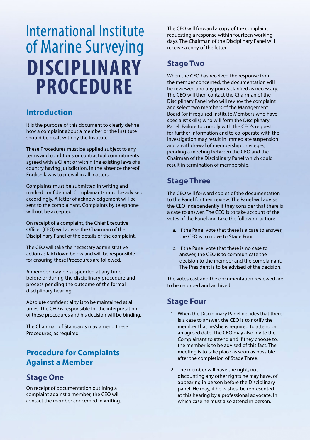# International Institute of Marine Surveying **DISCIPLINARY PROCEDURE**

#### **Introduction**

It is the purpose of this document to clearly define how a complaint about a member or the Institute should be dealt with by the Institute.

These Procedures must be applied subject to any terms and conditions or contractual commitments agreed with a Client or within the existing laws of a country having jurisdiction. In the absence thereof English law is to prevail in all matters.

Complaints must be submitted in writing and marked confidential. Complainants must be advised accordingly. A letter of acknowledgement will be sent to the complainant. Complaints by telephone will not be accepted.

On receipt of a complaint, the Chief Executive Officer (CEO) will advise the Chairman of the Disciplinary Panel of the details of the complaint.

The CEO will take the necessary administrative action as laid down below and will be responsible for ensuring these Procedures are followed.

A member may be suspended at any time before or during the disciplinary procedure and process pending the outcome of the formal disciplinary hearing.

Absolute confidentiality is to be maintained at all times. The CEO is responsible for the interpretation of these procedures and his decision will be binding.

The Chairman of Standards may amend these Procedures, as required.

## **Procedure for Complaints Against a Member**

## **Stage One**

On receipt of documentation outlining a complaint against a member, the CEO will contact the member concerned in writing. The CEO will forward a copy of the complaint requesting a response within fourteen working days. The Chairman of the Disciplinary Panel will receive a copy of the letter.

## **Stage Two**

When the CEO has received the response from the member concerned, the documentation will be reviewed and any points clarified as necessary. The CEO will then contact the Chairman of the Disciplinary Panel who will review the complaint and select two members of the Management Board (or if required Institute Members who have specialist skills) who will form the Disciplinary Panel. Failure to comply with the CEO's request for further information and to co-operate with the investigation may result in immediate suspension and a withdrawal of membership privileges, pending a meeting between the CEO and the Chairman of the Disciplinary Panel which could result in termination of membership.

## **Stage Three**

The CEO will forward copies of the documentation to the Panel for their review. The Panel will advise the CEO independently if they consider that there is a case to answer. The CEO is to take account of the votes of the Panel and take the following action:

- a. If the Panel vote that there is a case to answer, the CEO is to move to Stage Four.
- b. If the Panel vote that there is no case to answer, the CEO is to communicate the decision to the member and the complainant. The President is to be advised of the decision.

The votes cast and the documentation reviewed are to be recorded and archived.

## **Stage Four**

- 1. When the Disciplinary Panel decides that there is a case to answer, the CEO is to notify the member that he/she is required to attend on an agreed date. The CEO may also invite the Complainant to attend and if they choose to, the member is to be advised of this fact. The meeting is to take place as soon as possible after the completion of Stage Three.
- 2. The member will have the right, not discounting any other rights he may have, of appearing in person before the Disciplinary panel. He may, if he wishes, be represented at this hearing by a professional advocate. In which case he must also attend in person.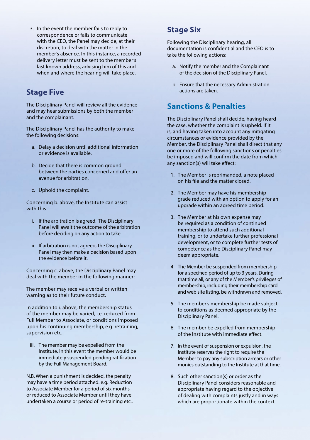3. In the event the member fails to reply to correspondence or fails to communicate with the CEO, the Panel may decide, at their discretion, to deal with the matter in the member's absence. In this instance, a recorded delivery letter must be sent to the member's last known address, advising him of this and when and where the hearing will take place.

#### **Stage Five**

The Disciplinary Panel will review all the evidence and may hear submissions by both the member and the complainant.

The Disciplinary Panel has the authority to make the following decisions:

- a. Delay a decision until additional information or evidence is available.
- b. Decide that there is common ground between the parties concerned and offer an avenue for arbitration.
- c. Uphold the complaint.

Concerning b. above, the Institute can assist with this.

- i. If the arbitration is agreed. The Disciplinary Panel will await the outcome of the arbitration before deciding on any action to take.
- ii. If arbitration is not agreed, the Disciplinary Panel may then make a decision based upon the evidence before it.

Concerning c. above, the Disciplinary Panel may deal with the member in the following manner:

The member may receive a verbal or written warning as to their future conduct.

In addition to i. above, the membership status of the member may be varied, i.e. reduced from Full Member to Associate, or conditions imposed upon his continuing membership, e.g. retraining, supervision etc.

iii. The member may be expelled from the Institute. In this event the member would be immediately suspended pending ratification by the Full Management Board.

N.B. When a punishment is decided, the penalty may have a time period attached. e.g. Reduction to Associate Member for a period of six months or reduced to Associate Member until they have undertaken a course or period of re-training etc..

#### **Stage Six**

Following the Disciplinary hearing, all documentation is confidential and the CEO is to take the following actions:

- a. Notify the member and the Complainant of the decision of the Disciplinary Panel.
- b. Ensure that the necessary Administration actions are taken.

#### **Sanctions & Penalties**

The Disciplinary Panel shall decide, having heard the case, whether the complaint is upheld. If it is, and having taken into account any mitigating circumstances or evidence provided by the Member, the Disciplinary Panel shall direct that any one or more of the following sanctions or penalties be imposed and will confirm the date from which any sanction(s) will take effect:

- 1. The Member is reprimanded, a note placed on his file and the matter closed.
- 2. The Member may have his membership grade reduced with an option to apply for an upgrade within an agreed time period.
- 3. The Member at his own expense may be required as a condition of continued membership to attend such additional training, or to undertake further professional development, or to complete further tests of competence as the Disciplinary Panel may deem appropriate.
- 4. The Member be suspended from membership for a specified period of up to 3 years. During that time all, or any of the Member's privileges of membership, including their membership card and web site listing, be withdrawn and removed.
- 5. The member's membership be made subject to conditions as deemed appropriate by the Disciplinary Panel.
- 6. The member be expelled from membership of the Institute with immediate effect.
- 7. In the event of suspension or expulsion, the Institute reserves the right to require the Member to pay any subscription arrears or other monies outstanding to the Institute at that time.
- 8. Such other sanction(s) or order as the Disciplinary Panel considers reasonable and appropriate having regard to the objective of dealing with complaints justly and in ways which are proportionate within the context